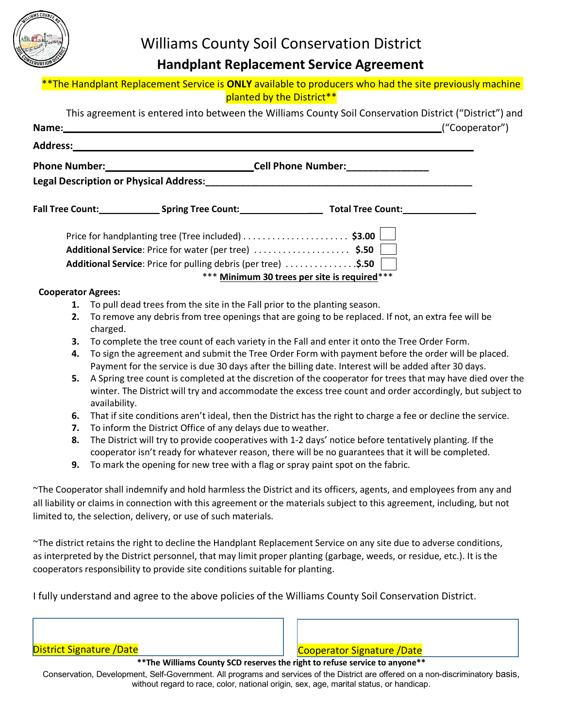

## **Handplant Replacement Service Agreement**

| **The Handplant Replacement Service is ONLY available to producers who had the site previously machine |  |  |
|--------------------------------------------------------------------------------------------------------|--|--|
| planted by the District**                                                                              |  |  |

|                           | This agreement is entered into between the Williams County Soil Conservation District ("District") and          |
|---------------------------|-----------------------------------------------------------------------------------------------------------------|
|                           | ("Cooperator")                                                                                                  |
|                           |                                                                                                                 |
|                           |                                                                                                                 |
|                           |                                                                                                                 |
|                           | Fall Tree Count: ___________________Spring Tree Count: _________________________ Total Tree Count: ___________  |
|                           | Price for handplanting tree (Tree included) \$3.00                                                              |
|                           | Additional Service: Price for water (per tree) \$.50                                                            |
|                           | Additional Service: Price for pulling debris (per tree) \$.50                                                   |
|                           | *** Minimum 30 trees per site is required***                                                                    |
| <b>Cooperator Agrees:</b> |                                                                                                                 |
| 1.                        | To pull dead trees from the site in the Fall prior to the planting season.                                      |
| 2.                        | To remove any debris from tree openings that are going to be replaced. If not, an extra fee will be<br>charged. |
| 3.                        | To complete the tree count of each variety in the Fall and enter it onto the Tree Order Form.                   |
| 4.                        | To sign the agreement and submit the Tree Order Form with payment before the order will be placed.              |
|                           | Payment for the service is due 30 days after the billing date. Interest will be added after 30 days.            |

- **5.** A Spring tree count is completed at the discretion of the cooperator for trees that may have died over the winter. The District will try and accommodate the excess tree count and order accordingly, but subject to availability.
- **6.** That if site conditions aren't ideal, then the District has the right to charge a fee or decline the service.
- **7.** To inform the District Office of any delays due to weather.
- **8.** The District will try to provide cooperatives with 1-2 days' notice before tentatively planting. If the cooperator isn't ready for whatever reason, there will be no guarantees that it will be completed.
- **9.** To mark the opening for new tree with a flag or spray paint spot on the fabric.

~The Cooperator shall indemnify and hold harmless the District and its officers, agents, and employees from any and all liability or claims in connection with this agreement or the materials subject to this agreement, including, but not limited to, the selection, delivery, or use of such materials.

~The district retains the right to decline the Handplant Replacement Service on any site due to adverse conditions, as interpreted by the District personnel, that may limit proper planting (garbage, weeds, or residue, etc.). It is the cooperators responsibility to provide site conditions suitable for planting.

I fully understand and agree to the above policies of the Williams County Soil Conservation District.

District Signature /Date Cooperator Signature /Date

**\*\*The Williams County SCD reserves the right to refuse service to anyone\*\***

Conservation, Development, Self-Government. All programs and services of the District are offered on a non-discriminatory basis, without regard to race, color, national origin, sex, age, marital status, or handicap.